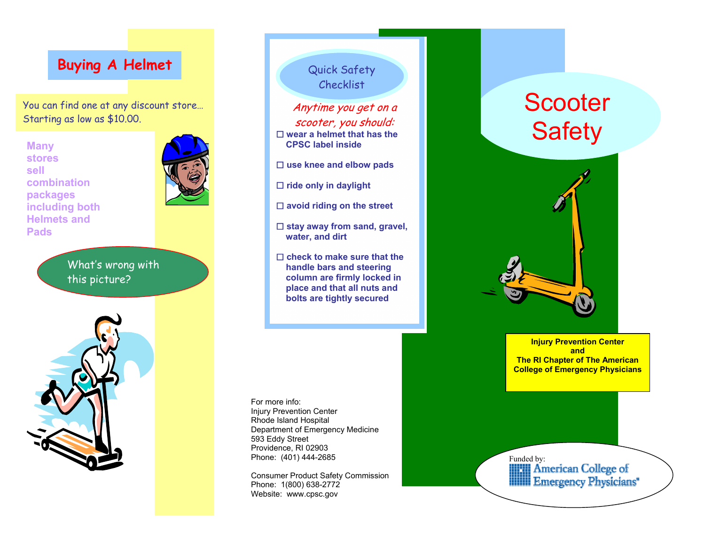### **Buying A Helmet**

You can find one at any discount store… Starting as low as \$10.00.

**Many stores sell combination packages including both Helmets andPads** 

> What's wrong with this picture?





Quick Safety Checklist

Anytime you get on a scooter, you should:  **wear a helmet that has the CPSC label inside** 

 **use knee and elbow pads** 

 **ride only in daylight** 

 **avoid riding on the street** 

□ stay away from sand, gravel,  **water, and dirt** 

□ check to make sure that the  **handle bars and steering column are firmly locked in place and that all nuts and bolts are tightly secured** 

For more info: Injury Prevention Center Rhode Island Hospital Department of Emergency Medicine 593 Eddy Street Providence, RI 02903 Phone: (401) 444-2685

Consumer Product Safety Commission Phone: 1(800) 638-2772 Website: www.cpsc.gov

# **Scooter Safety**



**Injury Prevention Center and The RI Chapter of The American College of Emergency Physicians**

Funded by:<br> **American College of**<br> **Emergency Physicians**